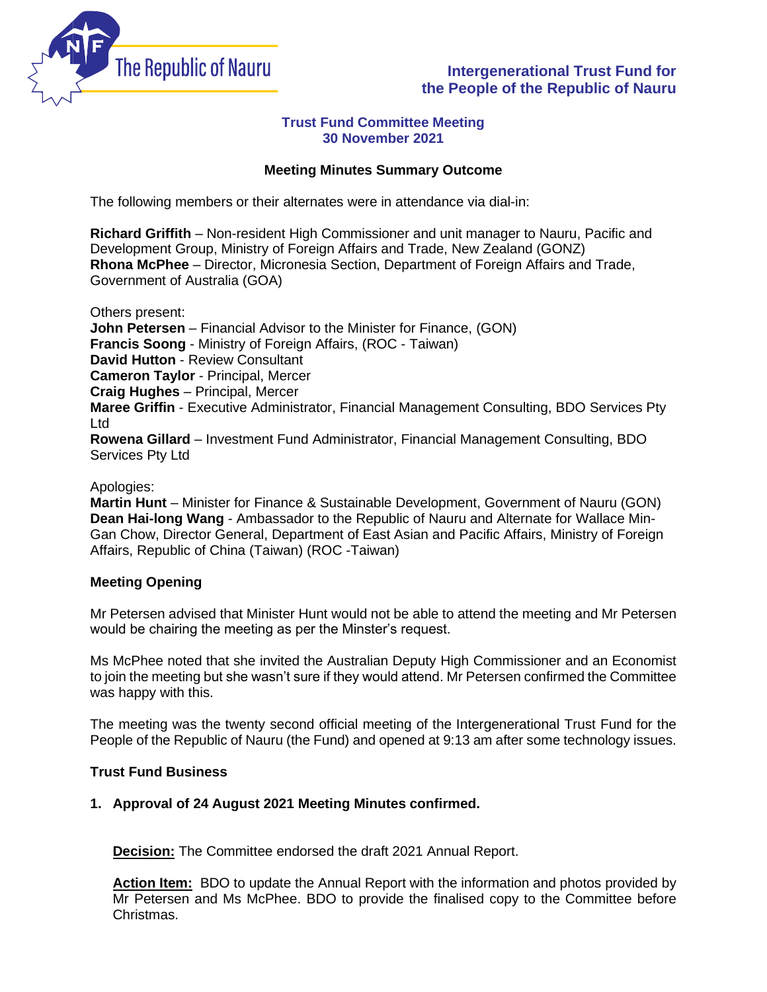

# **Intergenerational Trust Fund for the People of the Republic of Nauru**

## **Trust Fund Committee Meeting 30 November 2021**

# **Meeting Minutes Summary Outcome**

The following members or their alternates were in attendance via dial-in:

**Richard Griffith** – Non-resident High Commissioner and unit manager to Nauru, Pacific and Development Group, Ministry of Foreign Affairs and Trade, New Zealand (GONZ) **Rhona McPhee** – Director, Micronesia Section, Department of Foreign Affairs and Trade, Government of Australia (GOA)

Others present: **John Petersen** – Financial Advisor to the Minister for Finance, (GON) **Francis Soong** - Ministry of Foreign Affairs, (ROC - Taiwan) **David Hutton** - Review Consultant **Cameron Taylor** - Principal, Mercer **Craig Hughes** – Principal, Mercer **Maree Griffin** - Executive Administrator, Financial Management Consulting, BDO Services Pty Ltd **Rowena Gillard** – Investment Fund Administrator, Financial Management Consulting, BDO Services Pty Ltd

#### Apologies:

**Martin Hunt** – Minister for Finance & Sustainable Development, Government of Nauru (GON) **Dean Hai-long Wang** - Ambassador to the Republic of Nauru and Alternate for Wallace Min-Gan Chow, Director General, Department of East Asian and Pacific Affairs, Ministry of Foreign Affairs, Republic of China (Taiwan) (ROC -Taiwan)

## **Meeting Opening**

Mr Petersen advised that Minister Hunt would not be able to attend the meeting and Mr Petersen would be chairing the meeting as per the Minster's request.

Ms McPhee noted that she invited the Australian Deputy High Commissioner and an Economist to join the meeting but she wasn't sure if they would attend. Mr Petersen confirmed the Committee was happy with this.

The meeting was the twenty second official meeting of the Intergenerational Trust Fund for the People of the Republic of Nauru (the Fund) and opened at 9:13 am after some technology issues.

## **Trust Fund Business**

## **1. Approval of 24 August 2021 Meeting Minutes confirmed.**

**Decision:** The Committee endorsed the draft 2021 Annual Report.

**Action Item:** BDO to update the Annual Report with the information and photos provided by Mr Petersen and Ms McPhee. BDO to provide the finalised copy to the Committee before Christmas.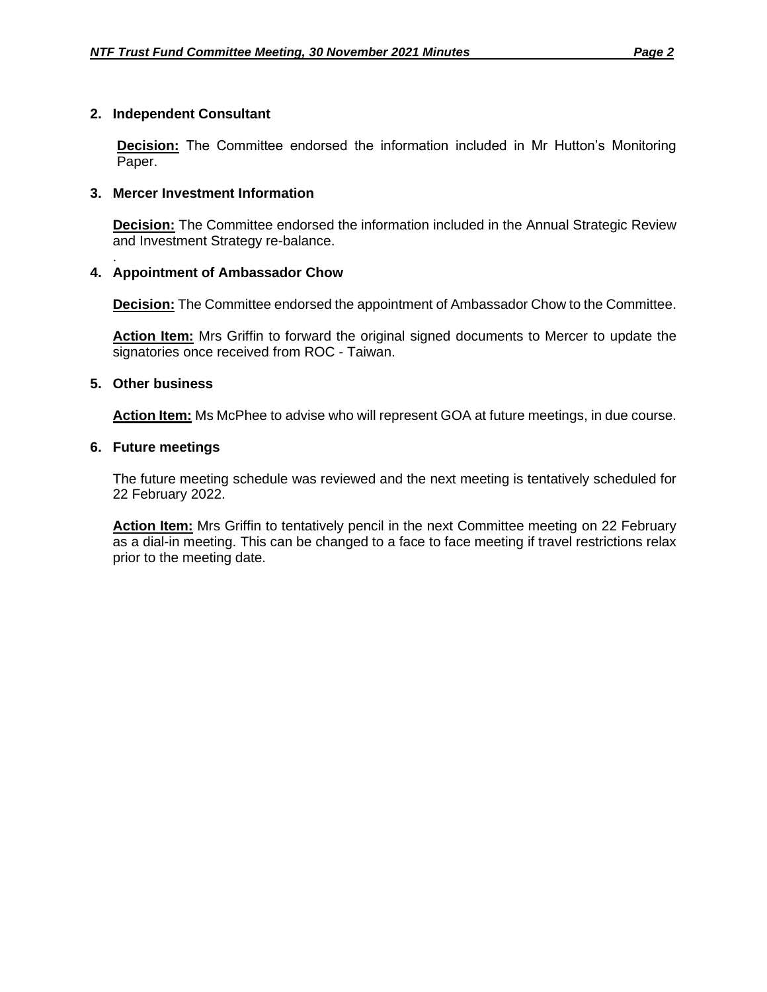#### **2. Independent Consultant**

**Decision:** The Committee endorsed the information included in Mr Hutton's Monitoring Paper.

#### **3. Mercer Investment Information**

**Decision:** The Committee endorsed the information included in the Annual Strategic Review and Investment Strategy re-balance.

#### . **4. Appointment of Ambassador Chow**

**Decision:** The Committee endorsed the appointment of Ambassador Chow to the Committee.

**Action Item:** Mrs Griffin to forward the original signed documents to Mercer to update the signatories once received from ROC - Taiwan.

#### **5. Other business**

**Action Item:** Ms McPhee to advise who will represent GOA at future meetings, in due course.

#### **6. Future meetings**

The future meeting schedule was reviewed and the next meeting is tentatively scheduled for 22 February 2022.

**Action Item:** Mrs Griffin to tentatively pencil in the next Committee meeting on 22 February as a dial-in meeting. This can be changed to a face to face meeting if travel restrictions relax prior to the meeting date.